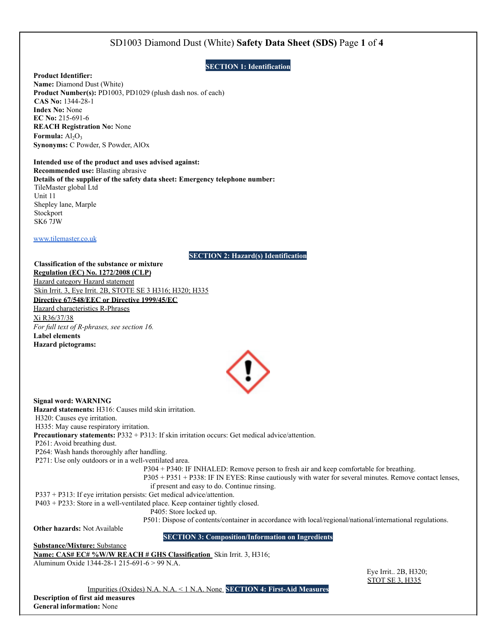**SECTION 1: Identification**

# **Product Identifier:**

**Name:** Diamond Dust (White) **Product Number(s):** PD1003, PD1029 (plush dash nos. of each) **CAS No:** 1344-28-1 **Index No:** None **EC No:** 215-691-6 **REACH Registration No:** None **Formula:** Al<sub>2</sub>O<sub>3</sub> **Synonyms:** C Powder, S Powder, AlOx

### **Intended use of the product and uses advised against: Recommended use:** Blasting abrasive **Details of the supplier of the safety data sheet: Emergency telephone number:** TileMaster global Ltd Unit 11 Shepley lane, Marple Stockport SK6 7JW

[www.tilemaster.co.uk](http://www.tilemaster.co.uk)

**SECTION 2: Hazard(s) Identification**

**Classification of the substance or mixture Regulation (EC) No. 1272/2008 (CLP)** Hazard category Hazard statement Skin Irrit. 3, Eye Irrit. 2B, STOTE SE 3 H316; H320; H335 **Directive 67/548/EEC or Directive 1999/45/EC** Hazard characteristics R-Phrases Xi R36/37/38 *For full text of R-phrases, see section 16.* **Label elements Hazard pictograms:**



**Signal word: WARNING Hazard statements:** H316: Causes mild skin irritation. H320: Causes eye irritation. H335: May cause respiratory irritation. **Precautionary statements:** P332 + P313: If skin irritation occurs: Get medical advice/attention. P261: Avoid breathing dust. P264: Wash hands thoroughly after handling. P271: Use only outdoors or in a well-ventilated area. P304 + P340: IF INHALED: Remove person to fresh air and keep comfortable for breathing. P305 + P351 + P338: IF IN EYES: Rinse cautiously with water for several minutes. Remove contact lenses, if present and easy to do. Continue rinsing. P337 + P313: If eye irritation persists: Get medical advice/attention. P403 + P233: Store in a well-ventilated place. Keep container tightly closed. P405: Store locked up. P501: Dispose of contents/container in accordance with local/regional/national/international regulations. **Other hazards:** Not Available **SECTION 3: Composition/Information on Ingredients Substance/Mixture:** Substance **Name: CAS# EC# %W/W REACH # GHS Classification** Skin Irrit. 3, H316;

Aluminum Oxide 1344-28-1 215-691-6 > 99 N.A.

Eye Irrit.. 2B, H320; STOT SE 3, H335

Impurities (Oxides) N.A. N.A. < 1 N.A. None **SECTION 4: First-Aid Measures Description of first aid measures**

**General information:** None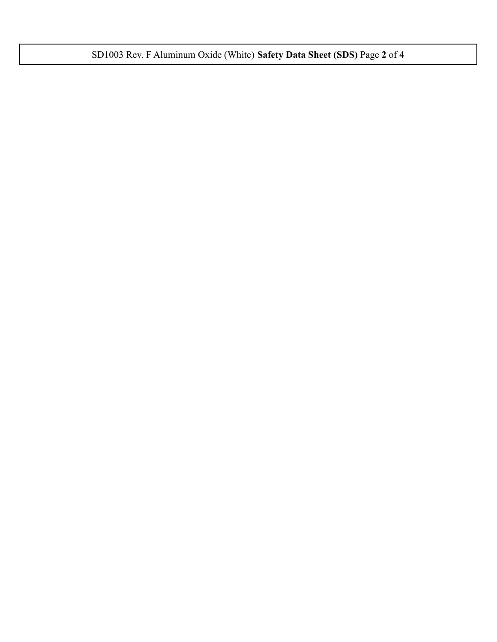SD1003 Rev. F Aluminum Oxide (White) **Safety Data Sheet (SDS)** Page **2** of **4**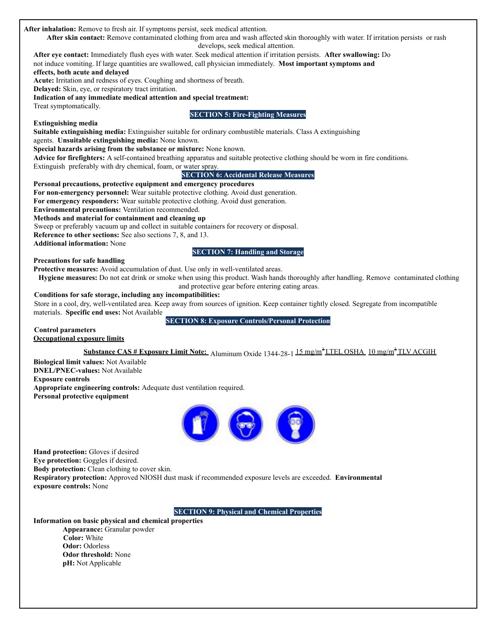

## **SECTION 9: Physical and Chemical Properties**

### **Information on basic physical and chemical properties**

**Appearance:** Granular powder **Color:** White **Odor:** Odorless **Odor threshold:** None **pH:** Not Applicable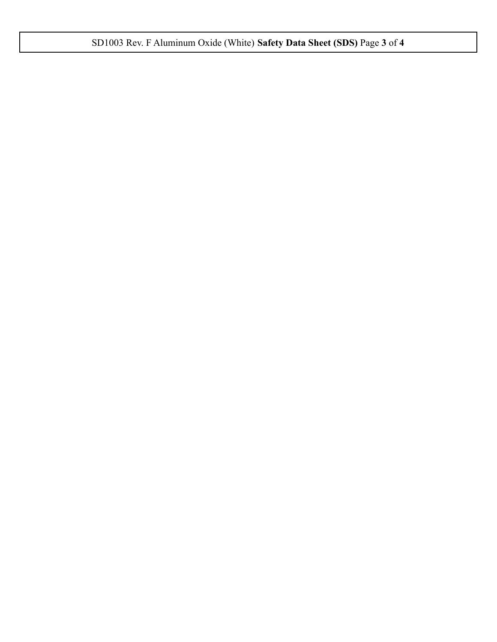# SD1003 Rev. F Aluminum Oxide (White) **Safety Data Sheet (SDS)** Page **3** of **4**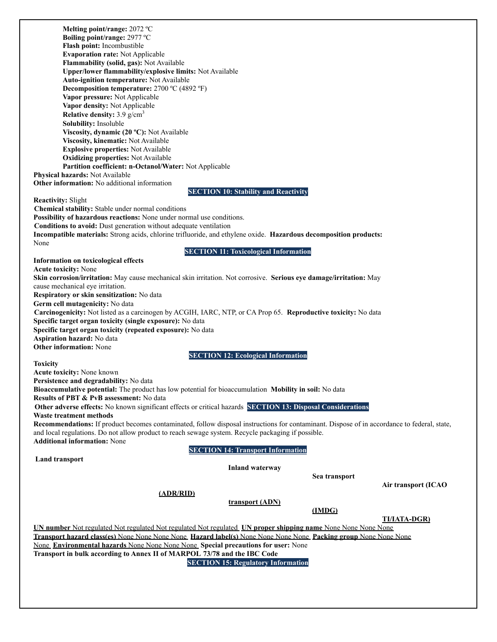| Melting point/range: 2072 °C                                                                                                                                                                                                                      |                     |
|---------------------------------------------------------------------------------------------------------------------------------------------------------------------------------------------------------------------------------------------------|---------------------|
| Boiling point/range: 2977 °C                                                                                                                                                                                                                      |                     |
| Flash point: Incombustible<br><b>Evaporation rate: Not Applicable</b>                                                                                                                                                                             |                     |
| Flammability (solid, gas): Not Available                                                                                                                                                                                                          |                     |
| Upper/lower flammability/explosive limits: Not Available                                                                                                                                                                                          |                     |
| Auto-ignition temperature: Not Available                                                                                                                                                                                                          |                     |
| Decomposition temperature: 2700 °C (4892 °F)                                                                                                                                                                                                      |                     |
| Vapor pressure: Not Applicable                                                                                                                                                                                                                    |                     |
| Vapor density: Not Applicable                                                                                                                                                                                                                     |                     |
| Relative density: $3.9 \text{ g/cm}^3$                                                                                                                                                                                                            |                     |
| Solubility: Insoluble<br>Viscosity, dynamic $(20 °C)$ : Not Available                                                                                                                                                                             |                     |
| Viscosity, kinematic: Not Available                                                                                                                                                                                                               |                     |
| <b>Explosive properties:</b> Not Available                                                                                                                                                                                                        |                     |
| <b>Oxidizing properties: Not Available</b>                                                                                                                                                                                                        |                     |
| Partition coefficient: n-Octanol/Water: Not Applicable                                                                                                                                                                                            |                     |
| Physical hazards: Not Available                                                                                                                                                                                                                   |                     |
| Other information: No additional information                                                                                                                                                                                                      |                     |
| <b>SECTION 10: Stability and Reactivity</b>                                                                                                                                                                                                       |                     |
| <b>Reactivity: Slight</b><br><b>Chemical stability:</b> Stable under normal conditions                                                                                                                                                            |                     |
| Possibility of hazardous reactions: None under normal use conditions.                                                                                                                                                                             |                     |
| Conditions to avoid: Dust generation without adequate ventilation                                                                                                                                                                                 |                     |
| Incompatible materials: Strong acids, chlorine trifluoride, and ethylene oxide. Hazardous decomposition products:                                                                                                                                 |                     |
| None                                                                                                                                                                                                                                              |                     |
| <b>SECTION 11: Toxicological Information</b>                                                                                                                                                                                                      |                     |
| Information on toxicological effects                                                                                                                                                                                                              |                     |
| <b>Acute toxicity: None</b>                                                                                                                                                                                                                       |                     |
| Skin corrosion/irritation: May cause mechanical skin irritation. Not corrosive. Serious eye damage/irritation: May<br>cause mechanical eye irritation.                                                                                            |                     |
| Respiratory or skin sensitization: No data                                                                                                                                                                                                        |                     |
| Germ cell mutagenicity: No data                                                                                                                                                                                                                   |                     |
| Carcinogenicity: Not listed as a carcinogen by ACGIH, IARC, NTP, or CA Prop 65. Reproductive toxicity: No data                                                                                                                                    |                     |
| Specific target organ toxicity (single exposure): No data                                                                                                                                                                                         |                     |
| Specific target organ toxicity (repeated exposure): No data                                                                                                                                                                                       |                     |
| Aspiration hazard: No data                                                                                                                                                                                                                        |                     |
| <b>Other information:</b> None                                                                                                                                                                                                                    |                     |
| <b>SECTION 12: Ecological Information</b><br><b>Toxicity</b>                                                                                                                                                                                      |                     |
| Acute toxicity: None known                                                                                                                                                                                                                        |                     |
| Persistence and degradability: No data                                                                                                                                                                                                            |                     |
| Bioaccumulative potential: The product has low potential for bioaccumulation Mobility in soil: No data                                                                                                                                            |                     |
| Results of PBT & PvB assessment: No data                                                                                                                                                                                                          |                     |
| Other adverse effects: No known significant effects or critical hazards SECTION 13: Disposal Considerations                                                                                                                                       |                     |
| <b>Waste treatment methods</b>                                                                                                                                                                                                                    |                     |
| Recommendations: If product becomes contaminated, follow disposal instructions for contaminant. Dispose of in accordance to federal, state,<br>and local regulations. Do not allow product to reach sewage system. Recycle packaging if possible. |                     |
| <b>Additional information: None</b>                                                                                                                                                                                                               |                     |
| <b>SECTION 14: Transport Information</b>                                                                                                                                                                                                          |                     |
| <b>Land transport</b>                                                                                                                                                                                                                             |                     |
| <b>Inland waterway</b>                                                                                                                                                                                                                            |                     |
|                                                                                                                                                                                                                                                   | Sea transport       |
|                                                                                                                                                                                                                                                   | Air transport (ICAO |
| (ADR/RID)                                                                                                                                                                                                                                         |                     |
| transport (ADN)                                                                                                                                                                                                                                   |                     |
| (IMDG)                                                                                                                                                                                                                                            | <b>TI/IATA-DGR)</b> |
| UN number Not regulated Not regulated Not regulated Not regulated UN proper shipping name None None None None                                                                                                                                     |                     |
| Transport hazard class(es) None None None None Hazard label(s) None None None Poeking group None None None                                                                                                                                        |                     |
| None Environmental hazards None None None None Special precautions for user: None                                                                                                                                                                 |                     |
| Transport in bulk according to Annex II of MARPOL 73/78 and the IBC Code                                                                                                                                                                          |                     |
| <b>SECTION 15: Regulatory Information</b>                                                                                                                                                                                                         |                     |
|                                                                                                                                                                                                                                                   |                     |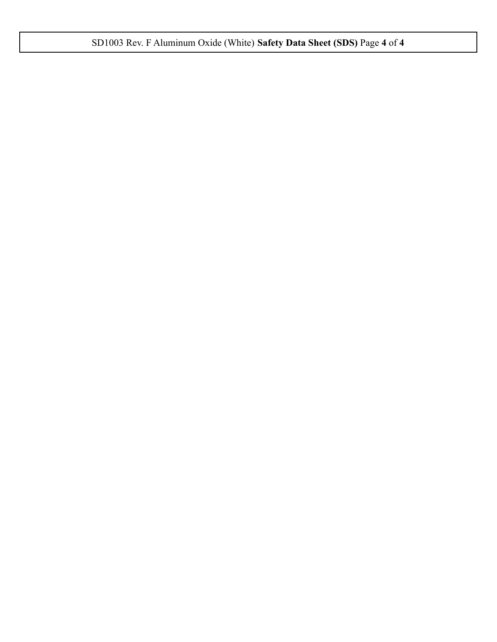# SD1003 Rev. F Aluminum Oxide (White) **Safety Data Sheet (SDS)** Page **4** of **4**